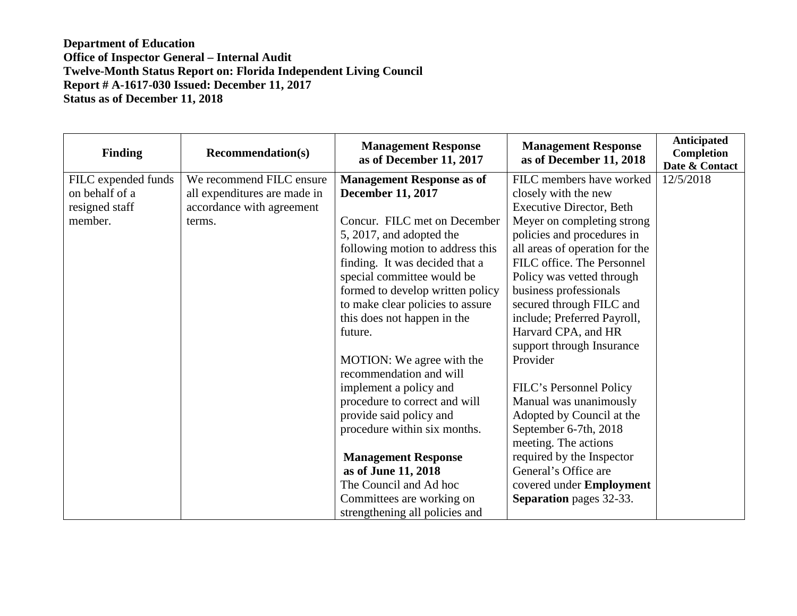## **Department of Education Office of Inspector General – Internal Audit Twelve-Month Status Report on: Florida Independent Living Council Report # A-1617-030 Issued: December 11, 2017 Status as of December 11, 2018**

| <b>Finding</b>      | <b>Recommendation(s)</b>     | <b>Management Response</b><br>as of December 11, 2017 | <b>Management Response</b><br>as of December 11, 2018 | Anticipated<br>Completion<br>Date & Contact |
|---------------------|------------------------------|-------------------------------------------------------|-------------------------------------------------------|---------------------------------------------|
| FILC expended funds | We recommend FILC ensure     | <b>Management Response as of</b>                      | FILC members have worked                              | 12/5/2018                                   |
| on behalf of a      | all expenditures are made in | <b>December 11, 2017</b>                              | closely with the new                                  |                                             |
| resigned staff      | accordance with agreement    |                                                       | <b>Executive Director, Beth</b>                       |                                             |
| member.             | terms.                       | Concur. FILC met on December                          | Meyer on completing strong                            |                                             |
|                     |                              | 5, 2017, and adopted the                              | policies and procedures in                            |                                             |
|                     |                              | following motion to address this                      | all areas of operation for the                        |                                             |
|                     |                              | finding. It was decided that a                        | FILC office. The Personnel                            |                                             |
|                     |                              | special committee would be                            | Policy was vetted through                             |                                             |
|                     |                              | formed to develop written policy                      | business professionals                                |                                             |
|                     |                              | to make clear policies to assure                      | secured through FILC and                              |                                             |
|                     |                              | this does not happen in the                           | include; Preferred Payroll,                           |                                             |
|                     |                              | future.                                               | Harvard CPA, and HR                                   |                                             |
|                     |                              |                                                       | support through Insurance                             |                                             |
|                     |                              | MOTION: We agree with the<br>recommendation and will  | Provider                                              |                                             |
|                     |                              | implement a policy and                                | FILC's Personnel Policy                               |                                             |
|                     |                              | procedure to correct and will                         | Manual was unanimously                                |                                             |
|                     |                              | provide said policy and                               | Adopted by Council at the                             |                                             |
|                     |                              | procedure within six months.                          | September 6-7th, 2018                                 |                                             |
|                     |                              |                                                       | meeting. The actions                                  |                                             |
|                     |                              | <b>Management Response</b>                            | required by the Inspector                             |                                             |
|                     |                              | as of June 11, 2018                                   | General's Office are                                  |                                             |
|                     |                              | The Council and Ad hoc                                | covered under Employment                              |                                             |
|                     |                              | Committees are working on                             | <b>Separation</b> pages 32-33.                        |                                             |
|                     |                              | strengthening all policies and                        |                                                       |                                             |